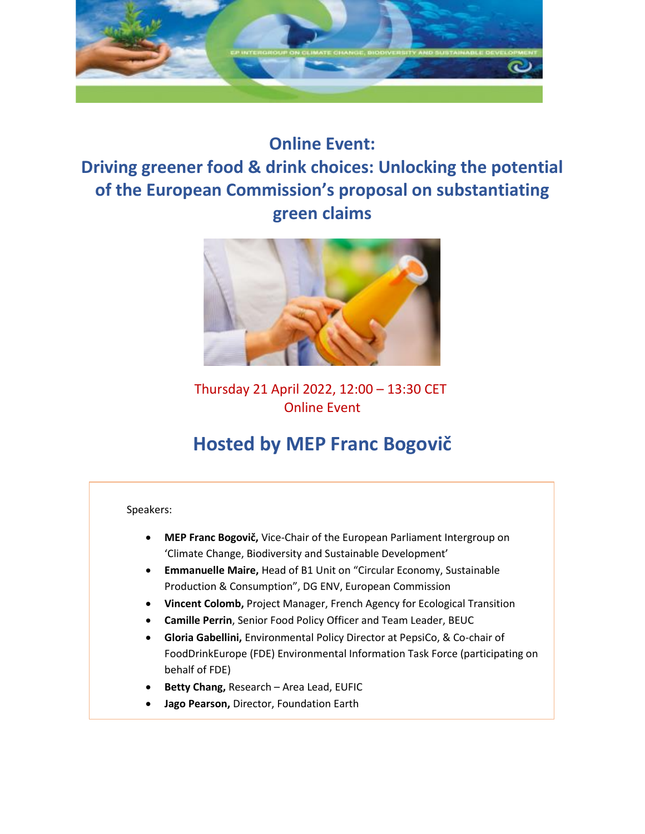

# **Online Event: Driving greener food & drink choices: Unlocking the potential of the European Commission's proposal on substantiating green claims**



## Thursday 21 April 2022, 12:00 – 13:30 CET Online Event

# **Hosted by MEP Franc Bogovič**

Speakers:

- **MEP Franc Bogovič,** Vice-Chair of the European Parliament Intergroup on 'Climate Change, Biodiversity and Sustainable Development'
- **Emmanuelle Maire,** Head of B1 Unit on "Circular Economy, Sustainable Production & Consumption", DG ENV, European Commission
- **Vincent Colomb,** Project Manager, French Agency for Ecological Transition
- **Camille Perrin**, Senior Food Policy Officer and Team Leader, BEUC
- **Gloria Gabellini,** Environmental Policy Director at PepsiCo, & Co-chair of FoodDrinkEurope (FDE) Environmental Information Task Force (participating on behalf of FDE)
- **Betty Chang,** Research Area Lead, EUFIC
- **Jago Pearson,** Director, Foundation Earth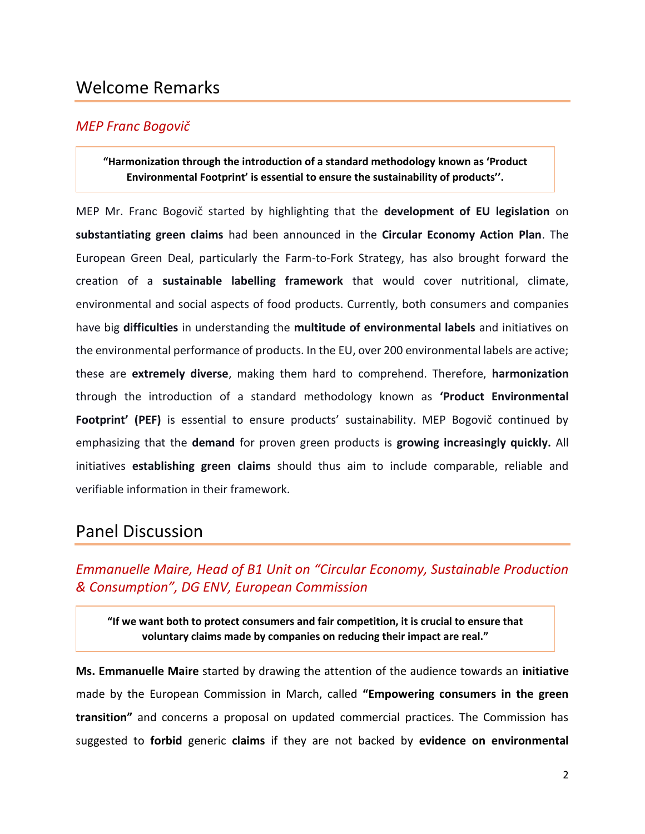# Welcome Remarks

## *MEP Franc Bogovič*

#### **"Harmonization through the introduction of a standard methodology known as 'Product Environmental Footprint' is essential to ensure the sustainability of products''.**

MEP Mr. Franc Bogovič started by highlighting that the **development of EU legislation** on **substantiating green claims** had been announced in the **Circular Economy Action Plan**. The European Green Deal, particularly the Farm-to-Fork Strategy, has also brought forward the creation of a **sustainable labelling framework** that would cover nutritional, climate, environmental and social aspects of food products. Currently, both consumers and companies have big **difficulties** in understanding the **multitude of environmental labels** and initiatives on the environmental performance of products. In the EU, over 200 environmental labels are active; these are **extremely diverse**, making them hard to comprehend. Therefore, **harmonization** through the introduction of a standard methodology known as **'Product Environmental Footprint' (PEF)** is essential to ensure products' sustainability. MEP Bogovič continued by emphasizing that the **demand** for proven green products is **growing increasingly quickly.** All initiatives **establishing green claims** should thus aim to include comparable, reliable and verifiable information in their framework.

## Panel Discussion

## *Emmanuelle Maire, Head of B1 Unit on "Circular Economy, Sustainable Production & Consumption", DG ENV, European Commission*

**"If we want both to protect consumers and fair competition, it is crucial to ensure that voluntary claims made by companies on reducing their impact are real."**

**Ms. Emmanuelle Maire** started by drawing the attention of the audience towards an **initiative** made by the European Commission in March, called **"Empowering consumers in the green transition"** and concerns a proposal on updated commercial practices. The Commission has suggested to **forbid** generic **claims** if they are not backed by **evidence on environmental**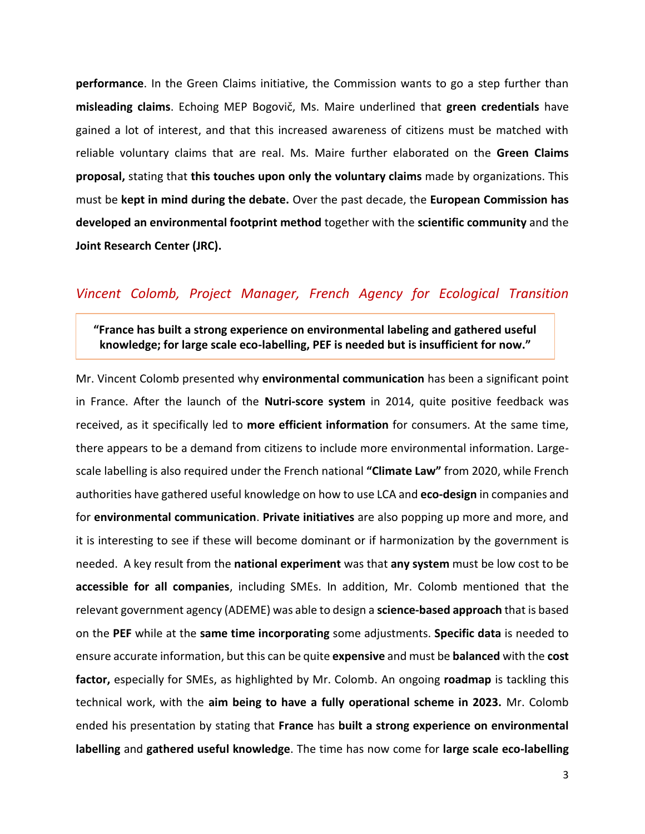**performance**. In the Green Claims initiative, the Commission wants to go a step further than **misleading claims**. Echoing MEP Bogovič, Ms. Maire underlined that **green credentials** have gained a lot of interest, and that this increased awareness of citizens must be matched with reliable voluntary claims that are real. Ms. Maire further elaborated on the **Green Claims proposal,** stating that **this touches upon only the voluntary claims** made by organizations. This must be **kept in mind during the debate.** Over the past decade, the **European Commission has developed an environmental footprint method** together with the **scientific community** and the **Joint Research Center (JRC).**

### *Vincent Colomb, Project Manager, French Agency for Ecological Transition*

**"France has built a strong experience on environmental labeling and gathered useful knowledge; for large scale eco-labelling, PEF is needed but is insufficient for now."**

Mr. Vincent Colomb presented why **environmental communication** has been a significant point in France. After the launch of the **Nutri-score system** in 2014, quite positive feedback was received, as it specifically led to **more efficient information** for consumers. At the same time, there appears to be a demand from citizens to include more environmental information. Largescale labelling is also required under the French national **"Climate Law"** from 2020, while French authorities have gathered useful knowledge on how to use LCA and **eco-design** in companies and for **environmental communication**. **Private initiatives** are also popping up more and more, and it is interesting to see if these will become dominant or if harmonization by the government is needed. A key result from the **national experiment** was that **any system** must be low cost to be **accessible for all companies**, including SMEs. In addition, Mr. Colomb mentioned that the relevant government agency (ADEME) was able to design a **science-based approach** that is based on the **PEF** while at the **same time incorporating** some adjustments. **Specific data** is needed to ensure accurate information, but this can be quite **expensive** and must be **balanced** with the **cost factor,** especially for SMEs, as highlighted by Mr. Colomb. An ongoing **roadmap** is tackling this technical work, with the **aim being to have a fully operational scheme in 2023.** Mr. Colomb ended his presentation by stating that **France** has **built a strong experience on environmental labelling** and **gathered useful knowledge**. The time has now come for **large scale eco-labelling**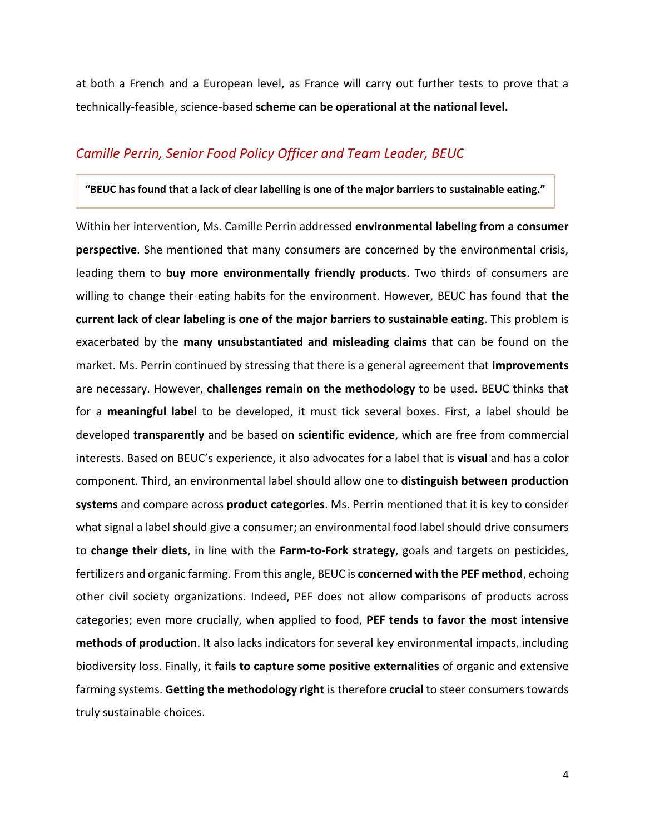at both a French and a European level, as France will carry out further tests to prove that a technically-feasible, science-based **scheme can be operational at the national level.**

## *Camille Perrin, Senior Food Policy Officer and Team Leader, BEUC*

#### **"BEUC has found that a lack of clear labelling is one of the major barriers to sustainable eating."**

Within her intervention, Ms. Camille Perrin addressed **environmental labeling from a consumer perspective**. She mentioned that many consumers are concerned by the environmental crisis, leading them to **buy more environmentally friendly products**. Two thirds of consumers are willing to change their eating habits for the environment. However, BEUC has found that **the current lack of clear labeling is one of the major barriers to sustainable eating**. This problem is exacerbated by the **many unsubstantiated and misleading claims** that can be found on the market. Ms. Perrin continued by stressing that there is a general agreement that **improvements**  are necessary. However, **challenges remain on the methodology** to be used. BEUC thinks that for a **meaningful label** to be developed, it must tick several boxes. First, a label should be developed **transparently** and be based on **scientific evidence**, which are free from commercial interests. Based on BEUC's experience, it also advocates for a label that is **visual** and has a color component. Third, an environmental label should allow one to **distinguish between production systems** and compare across **product categories**. Ms. Perrin mentioned that it is key to consider what signal a label should give a consumer; an environmental food label should drive consumers to **change their diets**, in line with the **Farm-to-Fork strategy**, goals and targets on pesticides, fertilizers and organic farming. From this angle, BEUC is **concerned with the PEF method**, echoing other civil society organizations. Indeed, PEF does not allow comparisons of products across categories; even more crucially, when applied to food, **PEF tends to favor the most intensive methods of production**. It also lacks indicators for several key environmental impacts, including biodiversity loss. Finally, it **fails to capture some positive externalities** of organic and extensive farming systems. **Getting the methodology right** is therefore **crucial** to steer consumers towards truly sustainable choices.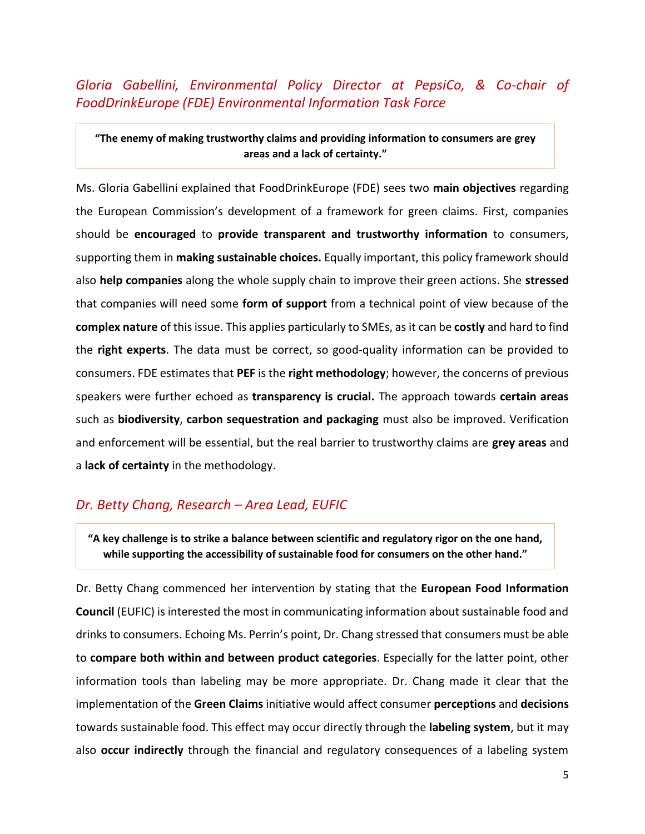*Gloria Gabellini, Environmental Policy Director at PepsiCo, & Co-chair of FoodDrinkEurope (FDE) Environmental Information Task Force*

**"The enemy of making trustworthy claims and providing information to consumers are grey areas and a lack of certainty."**

Ms. Gloria Gabellini explained that FoodDrinkEurope (FDE) sees two **main objectives** regarding the European Commission's development of a framework for green claims. First, companies should be **encouraged** to **provide transparent and trustworthy information** to consumers, supporting them in **making sustainable choices.** Equally important, this policy framework should also **help companies** along the whole supply chain to improve their green actions. She **stressed** that companies will need some **form of support** from a technical point of view because of the **complex nature** of this issue. This applies particularly to SMEs, as it can be **costly** and hard to find the **right experts**. The data must be correct, so good-quality information can be provided to consumers. FDE estimates that **PEF** is the **right methodology**; however, the concerns of previous speakers were further echoed as **transparency is crucial.** The approach towards **certain areas** such as **biodiversity**, **carbon sequestration and packaging** must also be improved. Verification and enforcement will be essential, but the real barrier to trustworthy claims are **grey areas** and a **lack of certainty** in the methodology.

#### *Dr. Betty Chang, Research – Area Lead, EUFIC*

**"A key challenge is to strike a balance between scientific and regulatory rigor on the one hand, while supporting the accessibility of sustainable food for consumers on the other hand."**

Dr. Betty Chang commenced her intervention by stating that the **European Food Information Council** (EUFIC) is interested the most in communicating information about sustainable food and drinks to consumers. Echoing Ms. Perrin's point, Dr. Chang stressed that consumers must be able to **compare both within and between product categories**. Especially for the latter point, other information tools than labeling may be more appropriate. Dr. Chang made it clear that the implementation of the **Green Claims** initiative would affect consumer **perceptions** and **decisions** towards sustainable food. This effect may occur directly through the **labeling system**, but it may also **occur indirectly** through the financial and regulatory consequences of a labeling system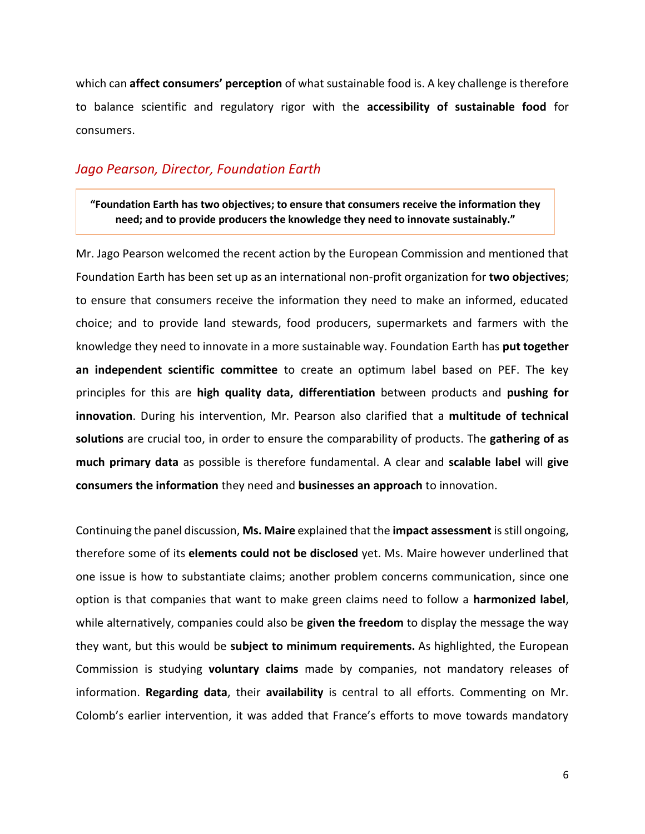which can **affect consumers' perception** of what sustainable food is. A key challenge is therefore to balance scientific and regulatory rigor with the **accessibility of sustainable food** for consumers.

### *Jago Pearson, Director, Foundation Earth*

**"Foundation Earth has two objectives; to ensure that consumers receive the information they need; and to provide producers the knowledge they need to innovate sustainably."**

Mr. Jago Pearson welcomed the recent action by the European Commission and mentioned that Foundation Earth has been set up as an international non-profit organization for **two objectives**; to ensure that consumers receive the information they need to make an informed, educated choice; and to provide land stewards, food producers, supermarkets and farmers with the knowledge they need to innovate in a more sustainable way. Foundation Earth has **put together an independent scientific committee** to create an optimum label based on PEF. The key principles for this are **high quality data, differentiation** between products and **pushing for innovation**. During his intervention, Mr. Pearson also clarified that a **multitude of technical solutions** are crucial too, in order to ensure the comparability of products. The **gathering of as much primary data** as possible is therefore fundamental. A clear and **scalable label** will **give consumers the information** they need and **businesses an approach** to innovation.

Continuing the panel discussion, **Ms. Maire** explained that the **impact assessment** is still ongoing, therefore some of its **elements could not be disclosed** yet. Ms. Maire however underlined that one issue is how to substantiate claims; another problem concerns communication, since one option is that companies that want to make green claims need to follow a **harmonized label**, while alternatively, companies could also be **given the freedom** to display the message the way they want, but this would be **subject to minimum requirements.** As highlighted, the European Commission is studying **voluntary claims** made by companies, not mandatory releases of information. **Regarding data**, their **availability** is central to all efforts. Commenting on Mr. Colomb's earlier intervention, it was added that France's efforts to move towards mandatory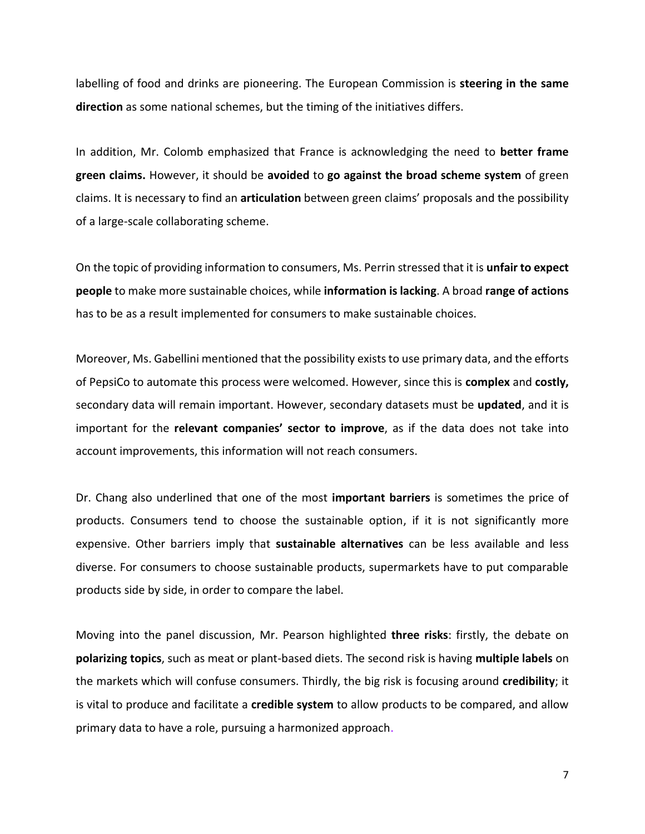labelling of food and drinks are pioneering. The European Commission is **steering in the same direction** as some national schemes, but the timing of the initiatives differs.

In addition, Mr. Colomb emphasized that France is acknowledging the need to **better frame green claims.** However, it should be **avoided** to **go against the broad scheme system** of green claims. It is necessary to find an **articulation** between green claims' proposals and the possibility of a large-scale collaborating scheme.

On the topic of providing information to consumers, Ms. Perrin stressed that it is **unfair to expect people** to make more sustainable choices, while **information is lacking**. A broad **range of actions** has to be as a result implemented for consumers to make sustainable choices.

Moreover, Ms. Gabellini mentioned that the possibility exists to use primary data, and the efforts of PepsiCo to automate this process were welcomed. However, since this is **complex** and **costly,** secondary data will remain important. However, secondary datasets must be **updated**, and it is important for the **relevant companies' sector to improve**, as if the data does not take into account improvements, this information will not reach consumers.

Dr. Chang also underlined that one of the most **important barriers** is sometimes the price of products. Consumers tend to choose the sustainable option, if it is not significantly more expensive. Other barriers imply that **sustainable alternatives** can be less available and less diverse. For consumers to choose sustainable products, supermarkets have to put comparable products side by side, in order to compare the label.

Moving into the panel discussion, Mr. Pearson highlighted **three risks**: firstly, the debate on **polarizing topics**, such as meat or plant-based diets. The second risk is having **multiple labels** on the markets which will confuse consumers. Thirdly, the big risk is focusing around **credibility**; it is vital to produce and facilitate a **credible system** to allow products to be compared, and allow primary data to have a role, pursuing a harmonized approach.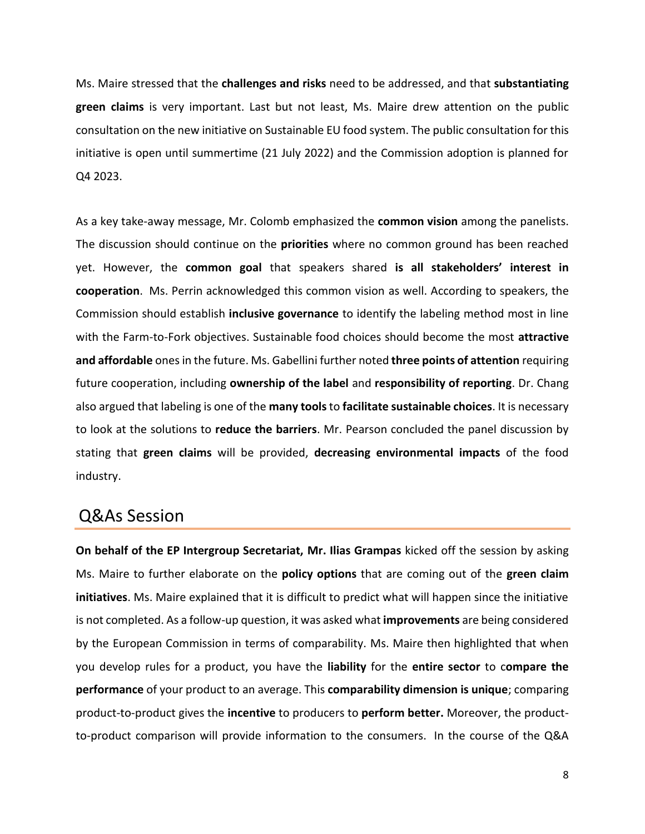Ms. Maire stressed that the **challenges and risks** need to be addressed, and that **substantiating green claims** is very important. Last but not least, Ms. Maire drew attention on the public consultation on the new initiative on Sustainable EU food system. The public consultation for this initiative is open until summertime (21 July 2022) and the Commission adoption is planned for Q4 2023.

As a key take-away message, Mr. Colomb emphasized the **common vision** among the panelists. The discussion should continue on the **priorities** where no common ground has been reached yet. However, the **common goal** that speakers shared **is all stakeholders' interest in cooperation**. Ms. Perrin acknowledged this common vision as well. According to speakers, the Commission should establish **inclusive governance** to identify the labeling method most in line with the Farm-to-Fork objectives. Sustainable food choices should become the most **attractive and affordable** ones in the future. Ms. Gabellini further noted **three points of attention** requiring future cooperation, including **ownership of the label** and **responsibility of reporting**. Dr. Chang also argued that labeling is one of the **many tools**to **facilitate sustainable choices**. It is necessary to look at the solutions to **reduce the barriers**. Mr. Pearson concluded the panel discussion by stating that **green claims** will be provided, **decreasing environmental impacts** of the food industry.

# Q&As Session

**On behalf of the EP Intergroup Secretariat, Mr. Ilias Grampas** kicked off the session by asking Ms. Maire to further elaborate on the **policy options** that are coming out of the **green claim initiatives**. Ms. Maire explained that it is difficult to predict what will happen since the initiative is not completed. As a follow-up question, it was asked what **improvements** are being considered by the European Commission in terms of comparability. Ms. Maire then highlighted that when you develop rules for a product, you have the **liability** for the **entire sector** to c**ompare the performance** of your product to an average. This **comparability dimension is unique**; comparing product-to-product gives the **incentive** to producers to **perform better.** Moreover, the productto-product comparison will provide information to the consumers. In the course of the Q&A